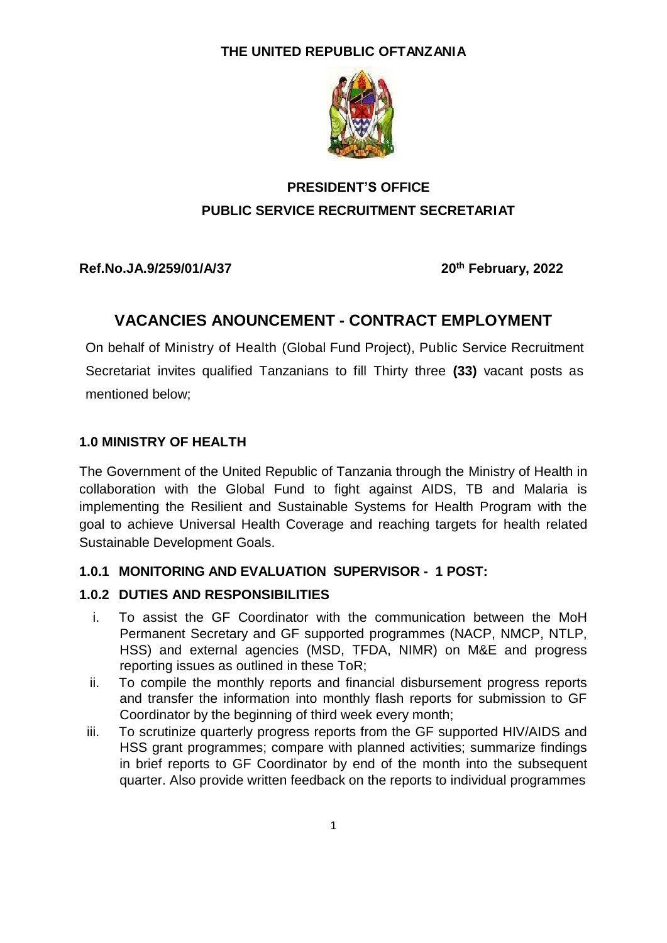#### **THE UNITED REPUBLIC OFTANZANIA**



# **PRESIDENT'S OFFICE PUBLIC SERVICE RECRUITMENT SECRETARIAT**

**Ref.No.JA.9/259/01/A/37 20**

**th February, 2022**

## **VACANCIES ANOUNCEMENT - CONTRACT EMPLOYMENT**

On behalf of Ministry of Health (Global Fund Project), Public Service Recruitment Secretariat invites qualified Tanzanians to fill Thirty three **(33)** vacant posts as mentioned below;

### **1.0 MINISTRY OF HEALTH**

The Government of the United Republic of Tanzania through the Ministry of Health in collaboration with the Global Fund to fight against AIDS, TB and Malaria is implementing the Resilient and Sustainable Systems for Health Program with the goal to achieve Universal Health Coverage and reaching targets for health related Sustainable Development Goals.

#### **1.0.1 MONITORING AND EVALUATION SUPERVISOR - 1 POST:**

#### **1.0.2 DUTIES AND RESPONSIBILITIES**

- i. To assist the GF Coordinator with the communication between the MoH Permanent Secretary and GF supported programmes (NACP, NMCP, NTLP, HSS) and external agencies (MSD, TFDA, NIMR) on M&E and progress reporting issues as outlined in these ToR;
- ii. To compile the monthly reports and financial disbursement progress reports and transfer the information into monthly flash reports for submission to GF Coordinator by the beginning of third week every month;
- iii. To scrutinize quarterly progress reports from the GF supported HIV/AIDS and HSS grant programmes; compare with planned activities; summarize findings in brief reports to GF Coordinator by end of the month into the subsequent quarter. Also provide written feedback on the reports to individual programmes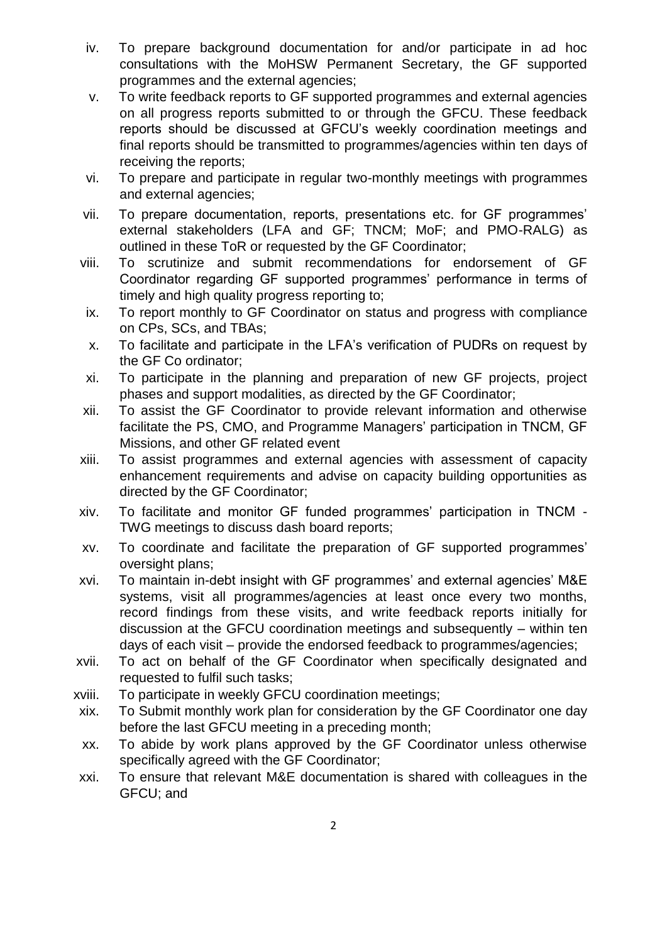- iv. To prepare background documentation for and/or participate in ad hoc consultations with the MoHSW Permanent Secretary, the GF supported programmes and the external agencies;
- v. To write feedback reports to GF supported programmes and external agencies on all progress reports submitted to or through the GFCU. These feedback reports should be discussed at GFCU's weekly coordination meetings and final reports should be transmitted to programmes/agencies within ten days of receiving the reports;
- vi. To prepare and participate in regular two-monthly meetings with programmes and external agencies;
- vii. To prepare documentation, reports, presentations etc. for GF programmes' external stakeholders (LFA and GF; TNCM; MoF; and PMO-RALG) as outlined in these ToR or requested by the GF Coordinator;
- viii. To scrutinize and submit recommendations for endorsement of GF Coordinator regarding GF supported programmes' performance in terms of timely and high quality progress reporting to;
- ix. To report monthly to GF Coordinator on status and progress with compliance on CPs, SCs, and TBAs;
- x. To facilitate and participate in the LFA's verification of PUDRs on request by the GF Co ordinator;
- xi. To participate in the planning and preparation of new GF projects, project phases and support modalities, as directed by the GF Coordinator;
- xii. To assist the GF Coordinator to provide relevant information and otherwise facilitate the PS, CMO, and Programme Managers' participation in TNCM, GF Missions, and other GF related event
- xiii. To assist programmes and external agencies with assessment of capacity enhancement requirements and advise on capacity building opportunities as directed by the GF Coordinator;
- xiv. To facilitate and monitor GF funded programmes' participation in TNCM TWG meetings to discuss dash board reports;
- xv. To coordinate and facilitate the preparation of GF supported programmes' oversight plans;
- xvi. To maintain in-debt insight with GF programmes' and external agencies' M&E systems, visit all programmes/agencies at least once every two months, record findings from these visits, and write feedback reports initially for discussion at the GFCU coordination meetings and subsequently – within ten days of each visit – provide the endorsed feedback to programmes/agencies;
- xvii. To act on behalf of the GF Coordinator when specifically designated and requested to fulfil such tasks;
- xviii. To participate in weekly GFCU coordination meetings;
- xix. To Submit monthly work plan for consideration by the GF Coordinator one day before the last GFCU meeting in a preceding month;
- xx. To abide by work plans approved by the GF Coordinator unless otherwise specifically agreed with the GF Coordinator;
- xxi. To ensure that relevant M&E documentation is shared with colleagues in the GFCU; and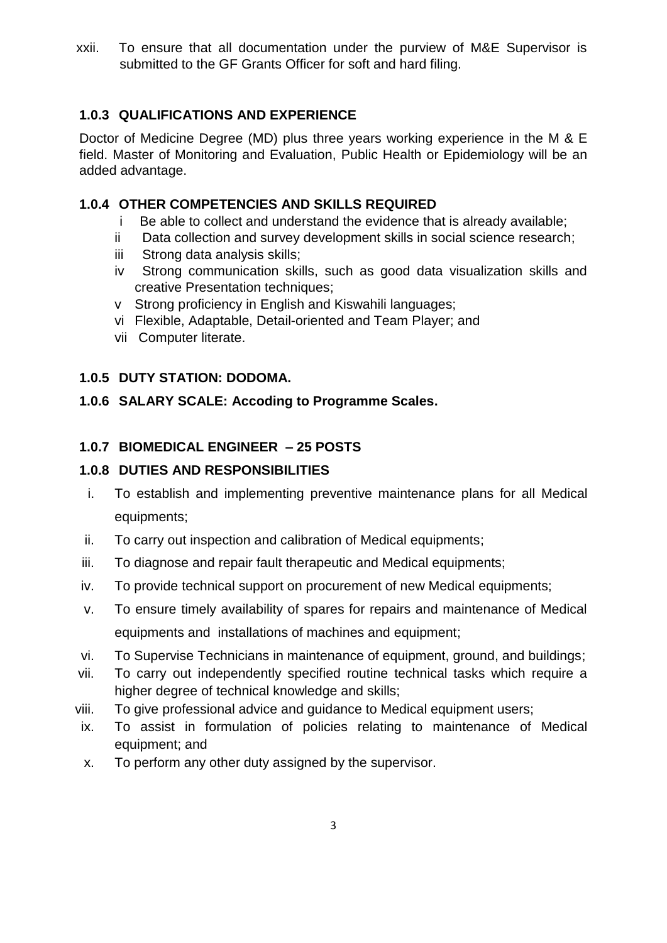xxii. To ensure that all documentation under the purview of M&E Supervisor is submitted to the GF Grants Officer for soft and hard filing.

## **1.0.3 QUALIFICATIONS AND EXPERIENCE**

Doctor of Medicine Degree (MD) plus three years working experience in the M & E field. Master of Monitoring and Evaluation, Public Health or Epidemiology will be an added advantage.

### **1.0.4 OTHER COMPETENCIES AND SKILLS REQUIRED**

- i Be able to collect and understand the evidence that is already available;
- ii Data collection and survey development skills in social science research;
- iii Strong data analysis skills;
- iv Strong communication skills, such as good data visualization skills and creative Presentation techniques;
- v Strong proficiency in English and Kiswahili languages;
- vi Flexible, Adaptable, Detail-oriented and Team Player; and
- vii Computer literate.

#### **1.0.5 DUTY STATION: DODOMA.**

#### **1.0.6 SALARY SCALE: Accoding to Programme Scales.**

### **1.0.7 BIOMEDICAL ENGINEER – 25 POSTS**

### **1.0.8 DUTIES AND RESPONSIBILITIES**

- i. To establish and implementing preventive maintenance plans for all Medical equipments;
- ii. To carry out inspection and calibration of Medical equipments;
- iii. To diagnose and repair fault therapeutic and Medical equipments;
- iv. To provide technical support on procurement of new Medical equipments;
- v. To ensure timely availability of spares for repairs and maintenance of Medical equipments and installations of machines and equipment;
- vi. To Supervise Technicians in maintenance of equipment, ground, and buildings;
- vii. To carry out independently specified routine technical tasks which require a higher degree of technical knowledge and skills;
- viii. To give professional advice and guidance to Medical equipment users;
- ix. To assist in formulation of policies relating to maintenance of Medical equipment; and
- x. To perform any other duty assigned by the supervisor.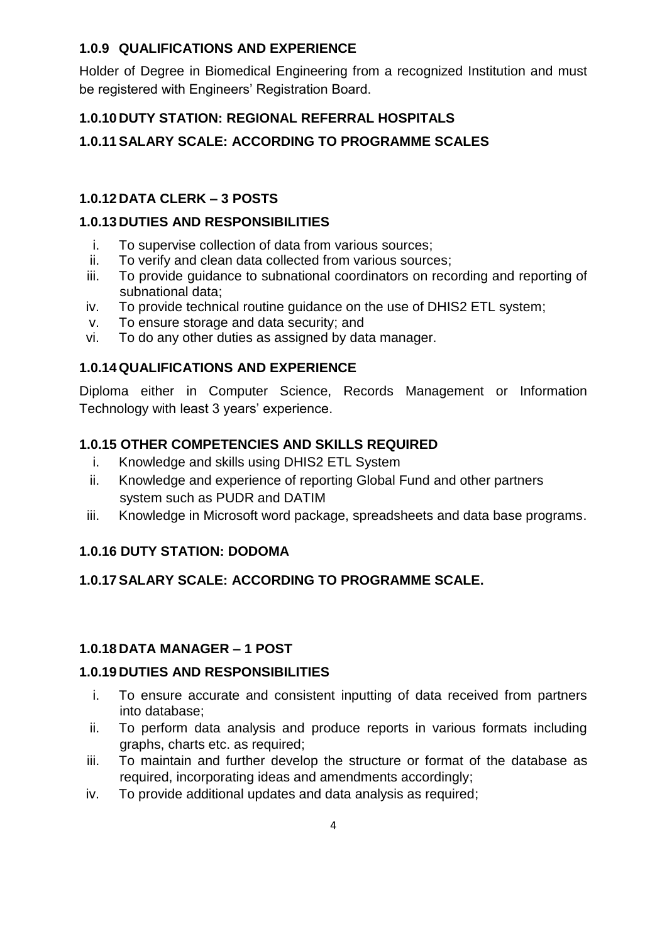### **1.0.9 QUALIFICATIONS AND EXPERIENCE**

Holder of Degree in Biomedical Engineering from a recognized Institution and must be registered with Engineers' Registration Board.

### **1.0.10 DUTY STATION: REGIONAL REFERRAL HOSPITALS**

**1.0.11SALARY SCALE: ACCORDING TO PROGRAMME SCALES**

## **1.0.12 DATA CLERK – 3 POSTS**

### **1.0.13 DUTIES AND RESPONSIBILITIES**

- i. To supervise collection of data from various sources;
- ii. To verify and clean data collected from various sources;
- iii. To provide guidance to subnational coordinators on recording and reporting of subnational data;
- iv. To provide technical routine guidance on the use of DHIS2 ETL system;
- v. To ensure storage and data security; and
- vi. To do any other duties as assigned by data manager.

## **1.0.14 QUALIFICATIONS AND EXPERIENCE**

Diploma either in Computer Science, Records Management or Information Technology with least 3 years' experience.

## **1.0.15 OTHER COMPETENCIES AND SKILLS REQUIRED**

- i. Knowledge and skills using DHIS2 ETL System
- ii. Knowledge and experience of reporting Global Fund and other partners system such as PUDR and DATIM
- iii. Knowledge in Microsoft word package, spreadsheets and data base programs.

### **1.0.16 DUTY STATION: DODOMA**

### **1.0.17SALARY SCALE: ACCORDING TO PROGRAMME SCALE.**

### **1.0.18 DATA MANAGER – 1 POST**

### **1.0.19 DUTIES AND RESPONSIBILITIES**

- i. To ensure accurate and consistent inputting of data received from partners into database;
- ii. To perform data analysis and produce reports in various formats including graphs, charts etc. as required;
- iii. To maintain and further develop the structure or format of the database as required, incorporating ideas and amendments accordingly;
- iv. To provide additional updates and data analysis as required;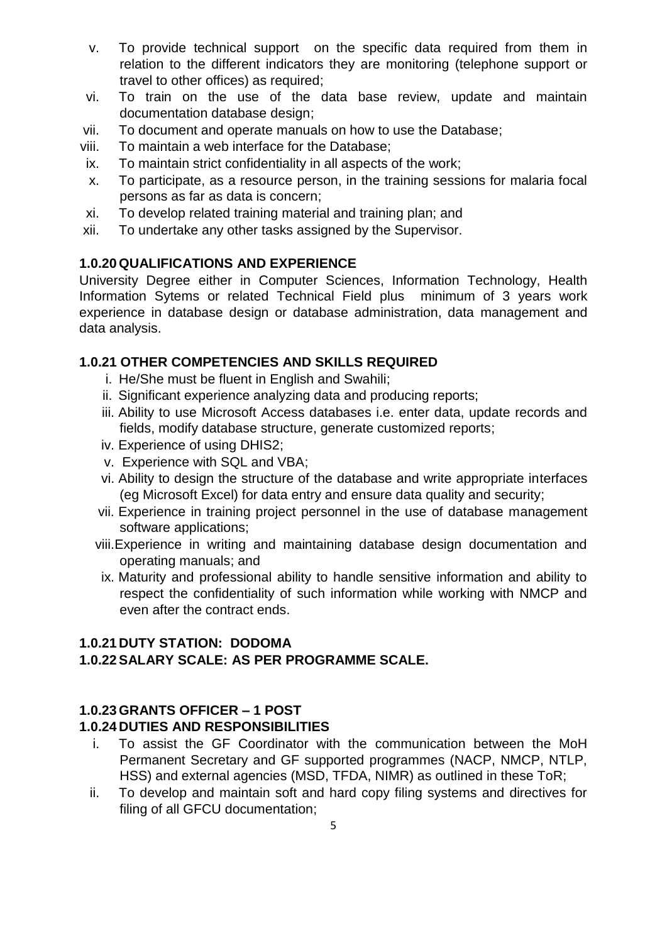- v. To provide technical support on the specific data required from them in relation to the different indicators they are monitoring (telephone support or travel to other offices) as required;
- vi. To train on the use of the data base review, update and maintain documentation database design;
- vii. To document and operate manuals on how to use the Database;
- viii. To maintain a web interface for the Database;
- ix. To maintain strict confidentiality in all aspects of the work;
- x. To participate, as a resource person, in the training sessions for malaria focal persons as far as data is concern;
- xi. To develop related training material and training plan; and
- xii. To undertake any other tasks assigned by the Supervisor.

#### **1.0.20 QUALIFICATIONS AND EXPERIENCE**

University Degree either in Computer Sciences, Information Technology, Health Information Sytems or related Technical Field plus minimum of 3 years work experience in database design or database administration, data management and data analysis.

#### **1.0.21 OTHER COMPETENCIES AND SKILLS REQUIRED**

- i. He/She must be fluent in English and Swahili;
- ii. Significant experience analyzing data and producing reports;
- iii. Ability to use Microsoft Access databases i.e. enter data, update records and fields, modify database structure, generate customized reports;
- iv. Experience of using DHIS2;
- v. Experience with SQL and VBA;
- vi. Ability to design the structure of the database and write appropriate interfaces (eg Microsoft Excel) for data entry and ensure data quality and security;
- vii. Experience in training project personnel in the use of database management software applications;
- viii.Experience in writing and maintaining database design documentation and operating manuals; and
- ix. Maturity and professional ability to handle sensitive information and ability to respect the confidentiality of such information while working with NMCP and even after the contract ends.

#### **1.0.21 DUTY STATION: DODOMA 1.0.22SALARY SCALE: AS PER PROGRAMME SCALE.**

#### **1.0.23 GRANTS OFFICER – 1 POST**

#### **1.0.24 DUTIES AND RESPONSIBILITIES**

- i. To assist the GF Coordinator with the communication between the MoH Permanent Secretary and GF supported programmes (NACP, NMCP, NTLP, HSS) and external agencies (MSD, TFDA, NIMR) as outlined in these ToR;
- ii. To develop and maintain soft and hard copy filing systems and directives for filing of all GFCU documentation;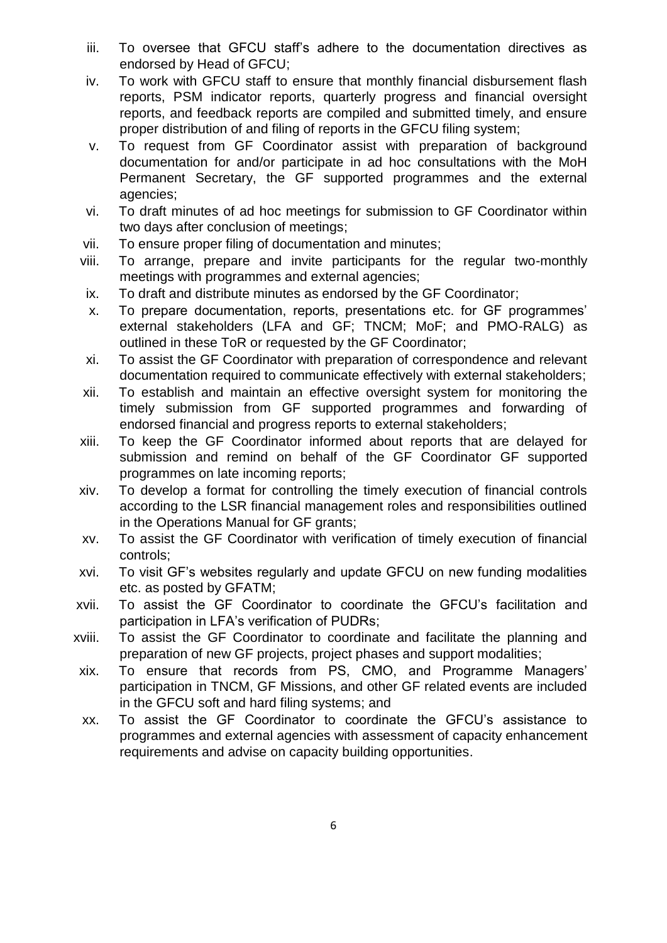- iii. To oversee that GFCU staff's adhere to the documentation directives as endorsed by Head of GFCU;
- iv. To work with GFCU staff to ensure that monthly financial disbursement flash reports, PSM indicator reports, quarterly progress and financial oversight reports, and feedback reports are compiled and submitted timely, and ensure proper distribution of and filing of reports in the GFCU filing system;
- v. To request from GF Coordinator assist with preparation of background documentation for and/or participate in ad hoc consultations with the MoH Permanent Secretary, the GF supported programmes and the external agencies;
- vi. To draft minutes of ad hoc meetings for submission to GF Coordinator within two days after conclusion of meetings;
- vii. To ensure proper filing of documentation and minutes;
- viii. To arrange, prepare and invite participants for the regular two-monthly meetings with programmes and external agencies;
- ix. To draft and distribute minutes as endorsed by the GF Coordinator;
- x. To prepare documentation, reports, presentations etc. for GF programmes' external stakeholders (LFA and GF; TNCM; MoF; and PMO-RALG) as outlined in these ToR or requested by the GF Coordinator;
- xi. To assist the GF Coordinator with preparation of correspondence and relevant documentation required to communicate effectively with external stakeholders;
- xii. To establish and maintain an effective oversight system for monitoring the timely submission from GF supported programmes and forwarding of endorsed financial and progress reports to external stakeholders;
- xiii. To keep the GF Coordinator informed about reports that are delayed for submission and remind on behalf of the GF Coordinator GF supported programmes on late incoming reports;
- xiv. To develop a format for controlling the timely execution of financial controls according to the LSR financial management roles and responsibilities outlined in the Operations Manual for GF grants;
- xv. To assist the GF Coordinator with verification of timely execution of financial controls;
- xvi. To visit GF's websites regularly and update GFCU on new funding modalities etc. as posted by GFATM;
- xvii. To assist the GF Coordinator to coordinate the GFCU's facilitation and participation in LFA's verification of PUDRs;
- xviii. To assist the GF Coordinator to coordinate and facilitate the planning and preparation of new GF projects, project phases and support modalities;
- xix. To ensure that records from PS, CMO, and Programme Managers' participation in TNCM, GF Missions, and other GF related events are included in the GFCU soft and hard filing systems; and
- xx. To assist the GF Coordinator to coordinate the GFCU's assistance to programmes and external agencies with assessment of capacity enhancement requirements and advise on capacity building opportunities.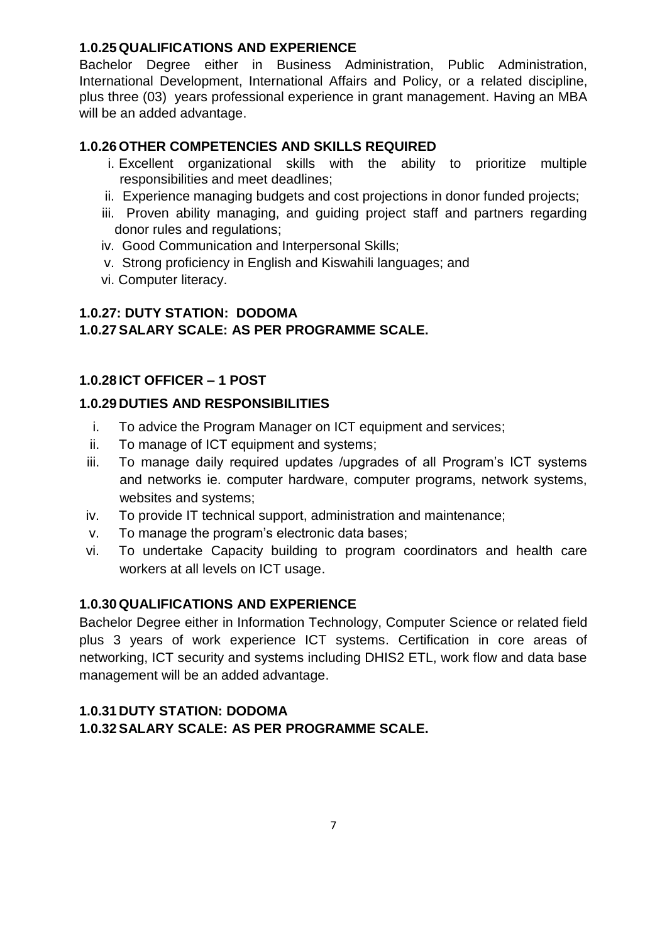#### **1.0.25 QUALIFICATIONS AND EXPERIENCE**

Bachelor Degree either in Business Administration, Public Administration, International Development, International Affairs and Policy, or a related discipline, plus three (03) years professional experience in grant management. Having an MBA will be an added advantage.

#### **1.0.26 OTHER COMPETENCIES AND SKILLS REQUIRED**

- i. Excellent organizational skills with the ability to prioritize multiple responsibilities and meet deadlines;
- ii. Experience managing budgets and cost projections in donor funded projects;
- iii. Proven ability managing, and guiding project staff and partners regarding donor rules and regulations;
- iv. Good Communication and Interpersonal Skills;
- v. Strong proficiency in English and Kiswahili languages; and
- vi. Computer literacy.

#### **1.0.27: DUTY STATION: DODOMA 1.0.27SALARY SCALE: AS PER PROGRAMME SCALE.**

#### **1.0.28 ICT OFFICER – 1 POST**

#### **1.0.29 DUTIES AND RESPONSIBILITIES**

- i. To advice the Program Manager on ICT equipment and services;
- ii. To manage of ICT equipment and systems;
- iii. To manage daily required updates /upgrades of all Program's ICT systems and networks ie. computer hardware, computer programs, network systems, websites and systems;
- iv. To provide IT technical support, administration and maintenance;
- v. To manage the program's electronic data bases;
- vi. To undertake Capacity building to program coordinators and health care workers at all levels on ICT usage.

#### **1.0.30 QUALIFICATIONS AND EXPERIENCE**

Bachelor Degree either in Information Technology, Computer Science or related field plus 3 years of work experience ICT systems. Certification in core areas of networking, ICT security and systems including DHIS2 ETL, work flow and data base management will be an added advantage.

### **1.0.31 DUTY STATION: DODOMA 1.0.32SALARY SCALE: AS PER PROGRAMME SCALE.**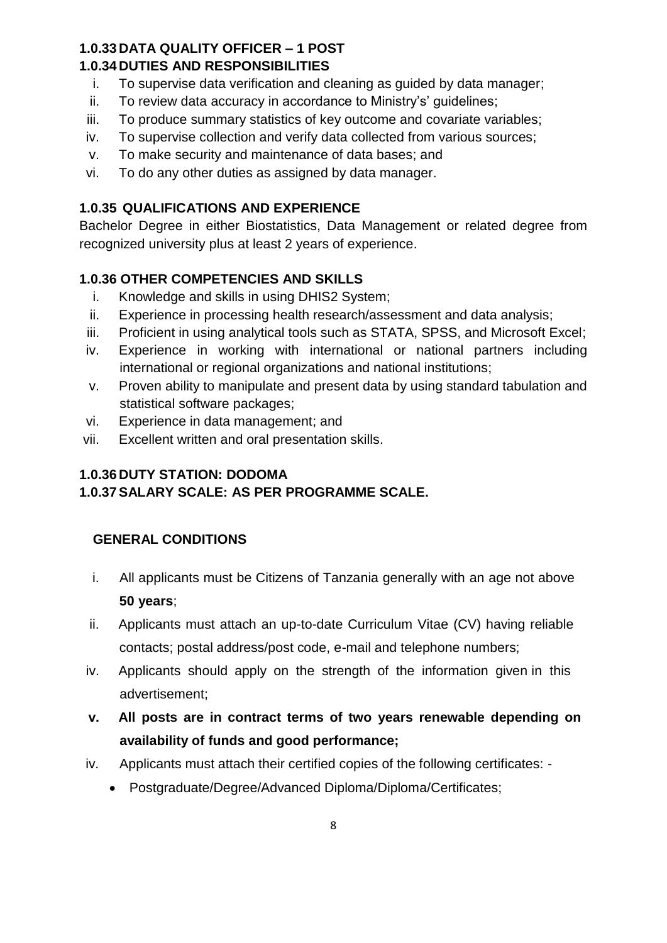### **1.0.33 DATA QUALITY OFFICER – 1 POST**

#### **1.0.34 DUTIES AND RESPONSIBILITIES**

- i. To supervise data verification and cleaning as guided by data manager;
- ii. To review data accuracy in accordance to Ministry's' guidelines;
- iii. To produce summary statistics of key outcome and covariate variables;
- iv. To supervise collection and verify data collected from various sources;
- v. To make security and maintenance of data bases; and
- vi. To do any other duties as assigned by data manager.

### **1.0.35 QUALIFICATIONS AND EXPERIENCE**

Bachelor Degree in either Biostatistics, Data Management or related degree from recognized university plus at least 2 years of experience.

## **1.0.36 OTHER COMPETENCIES AND SKILLS**

- i. Knowledge and skills in using DHIS2 System;
- ii. Experience in processing health research/assessment and data analysis;
- iii. Proficient in using analytical tools such as STATA, SPSS, and Microsoft Excel;
- iv. Experience in working with international or national partners including international or regional organizations and national institutions;
- v. Proven ability to manipulate and present data by using standard tabulation and statistical software packages;
- vi. Experience in data management; and
- vii. Excellent written and oral presentation skills.

#### **1.0.36 DUTY STATION: DODOMA 1.0.37SALARY SCALE: AS PER PROGRAMME SCALE.**

### **GENERAL CONDITIONS**

- i. All applicants must be Citizens of Tanzania generally with an age not above **50 years**;
- ii. Applicants must attach an up-to-date Curriculum Vitae (CV) having reliable contacts; postal address/post code, e-mail and telephone numbers;
- iv. Applicants should apply on the strength of the information given in this advertisement;
- **v. All posts are in contract terms of two years renewable depending on availability of funds and good performance;**
- iv. Applicants must attach their certified copies of the following certificates:
	- Postgraduate/Degree/Advanced Diploma/Diploma/Certificates;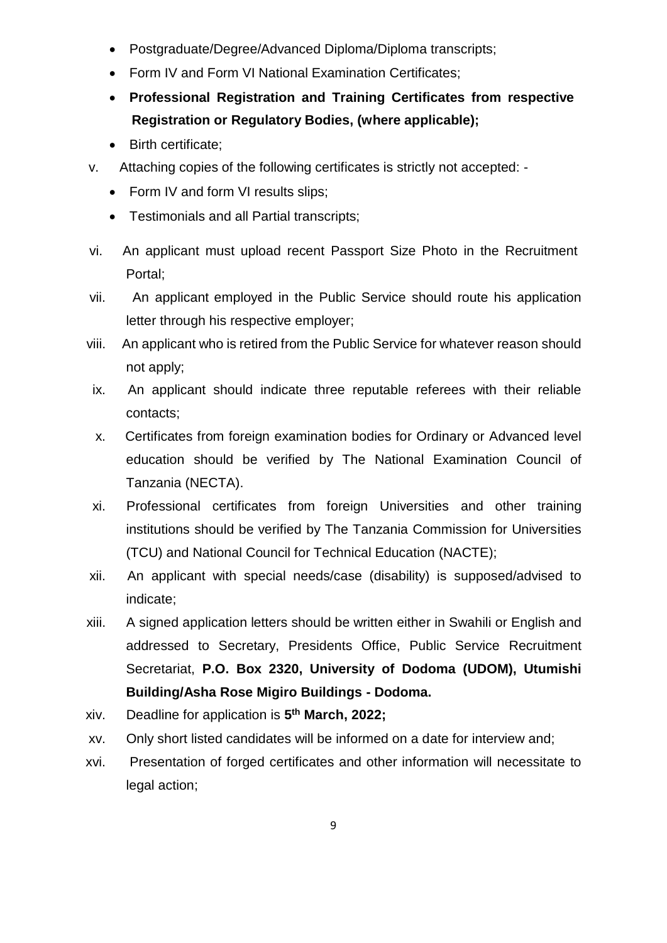- Postgraduate/Degree/Advanced Diploma/Diploma transcripts;
- Form IV and Form VI National Examination Certificates;
- **Professional Registration and Training Certificates from respective Registration or Regulatory Bodies, (where applicable);**
- Birth certificate:
- v. Attaching copies of the following certificates is strictly not accepted:
	- Form IV and form VI results slips;
	- Testimonials and all Partial transcripts;
- vi. An applicant must upload recent Passport Size Photo in the Recruitment Portal;
- vii. An applicant employed in the Public Service should route his application letter through his respective employer;
- viii. An applicant who is retired from the Public Service for whatever reason should not apply;
- ix. An applicant should indicate three reputable referees with their reliable contacts;
- x. Certificates from foreign examination bodies for Ordinary or Advanced level education should be verified by The National Examination Council of Tanzania (NECTA).
- xi. Professional certificates from foreign Universities and other training institutions should be verified by The Tanzania Commission for Universities (TCU) and National Council for Technical Education (NACTE);
- xii. An applicant with special needs/case (disability) is supposed/advised to indicate;
- xiii. A signed application letters should be written either in Swahili or English and addressed to Secretary, Presidents Office, Public Service Recruitment Secretariat, **P.O. Box 2320, University of Dodoma (UDOM), Utumishi Building/Asha Rose Migiro Buildings - Dodoma.**
- xiv. Deadline for application is **5 th March, 2022;**
- xv. Only short listed candidates will be informed on a date for interview and;
- xvi. Presentation of forged certificates and other information will necessitate to legal action: